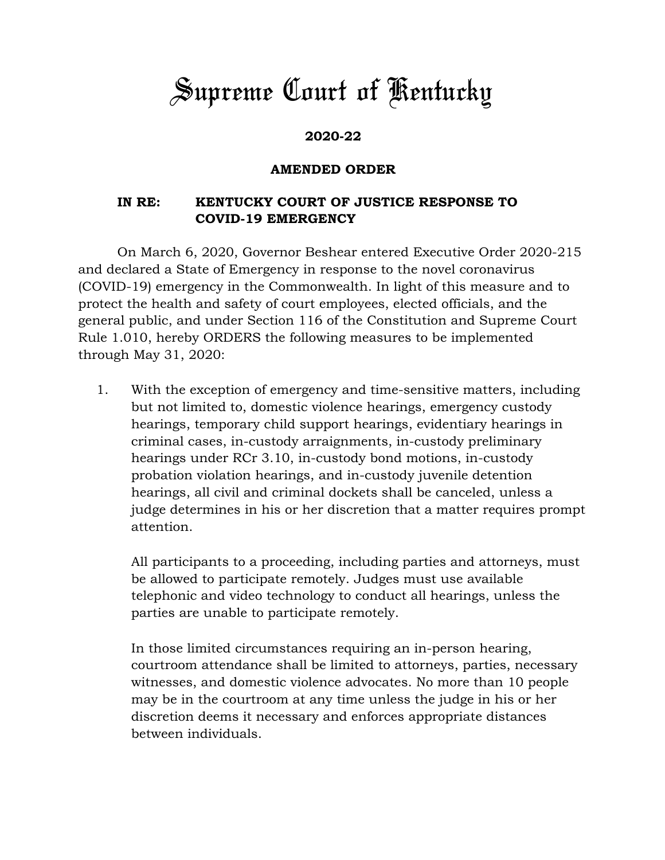## *Supreme Court of Kentucky*

## **2020-22**

## **AMENDED ORDER**

## **IN RE: KENTUCKY COURT OF JUSTICE RESPONSE TO COVID-19 EMERGENCY**

On March 6, 2020, Governor Beshear entered Executive Order 2020-215 and declared a State of Emergency in response to the novel coronavirus (COVID-19) emergency in the Commonwealth. In light of this measure and to protect the health and safety of court employees, elected officials, and the general public, and under Section 116 of the Constitution and Supreme Court Rule 1.010, hereby ORDERS the following measures to be implemented through May 31, 2020:

1. With the exception of emergency and time-sensitive matters, including but not limited to, domestic violence hearings, emergency custody hearings, temporary child support hearings, evidentiary hearings in criminal cases, in-custody arraignments, in-custody preliminary hearings under RCr 3.10, in-custody bond motions, in-custody probation violation hearings, and in-custody juvenile detention hearings, all civil and criminal dockets shall be canceled, unless a judge determines in his or her discretion that a matter requires prompt attention.

All participants to a proceeding, including parties and attorneys, must be allowed to participate remotely. Judges must use available telephonic and video technology to conduct all hearings, unless the parties are unable to participate remotely.

In those limited circumstances requiring an in-person hearing, courtroom attendance shall be limited to attorneys, parties, necessary witnesses, and domestic violence advocates. No more than 10 people may be in the courtroom at any time unless the judge in his or her discretion deems it necessary and enforces appropriate distances between individuals.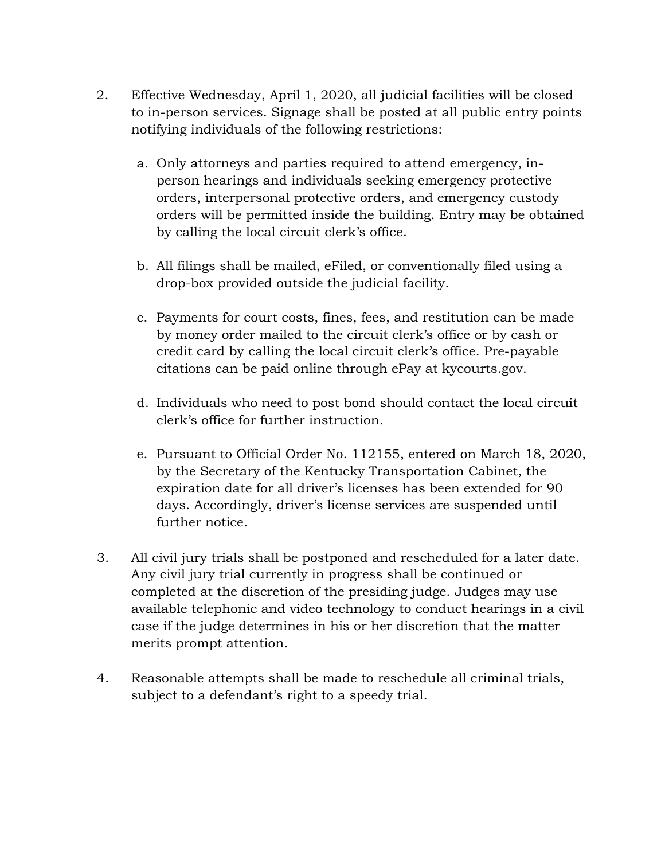- 2. Effective Wednesday, April 1, 2020, all judicial facilities will be closed to in-person services. Signage shall be posted at all public entry points notifying individuals of the following restrictions:
	- a. Only attorneys and parties required to attend emergency, inperson hearings and individuals seeking emergency protective orders, interpersonal protective orders, and emergency custody orders will be permitted inside the building. Entry may be obtained by calling the local circuit clerk's office.
	- b. All filings shall be mailed, eFiled, or conventionally filed using a drop-box provided outside the judicial facility.
	- c. Payments for court costs, fines, fees, and restitution can be made by money order mailed to the circuit clerk's office or by cash or credit card by calling the local circuit clerk's office. Pre-payable citations can be paid online through ePay at kycourts.gov.
	- d. Individuals who need to post bond should contact the local circuit clerk's office for further instruction.
	- e. Pursuant to Official Order No. 112155, entered on March 18, 2020, by the Secretary of the Kentucky Transportation Cabinet, the expiration date for all driver's licenses has been extended for 90 days. Accordingly, driver's license services are suspended until further notice.
- 3. All civil jury trials shall be postponed and rescheduled for a later date. Any civil jury trial currently in progress shall be continued or completed at the discretion of the presiding judge. Judges may use available telephonic and video technology to conduct hearings in a civil case if the judge determines in his or her discretion that the matter merits prompt attention.
- 4. Reasonable attempts shall be made to reschedule all criminal trials, subject to a defendant's right to a speedy trial.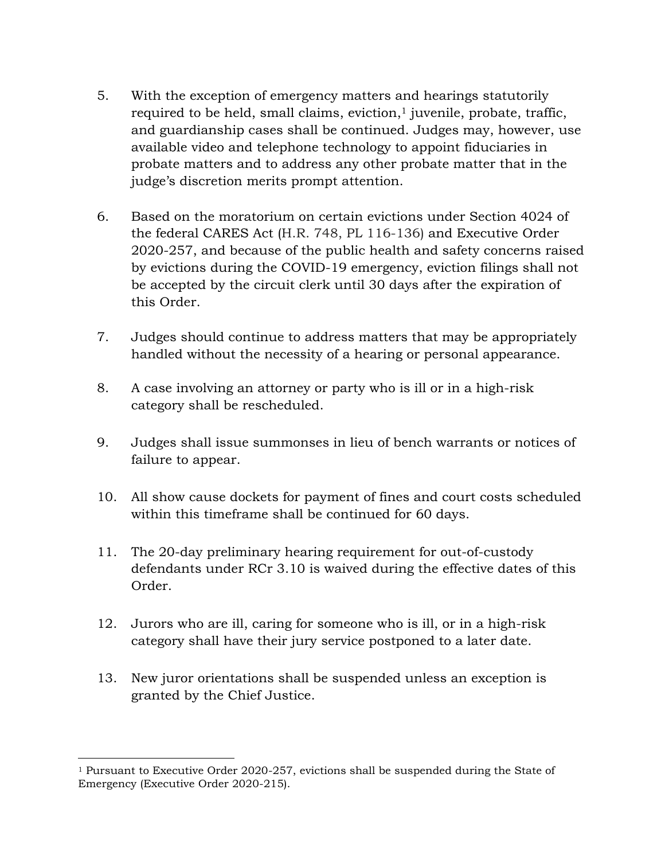- 5. With the exception of emergency matters and hearings statutorily required to be held, small claims, eviction, $<sup>1</sup>$  juvenile, probate, traffic,</sup> and guardianship cases shall be continued. Judges may, however, use available video and telephone technology to appoint fiduciaries in probate matters and to address any other probate matter that in the judge's discretion merits prompt attention.
- 6. Based on the moratorium on certain evictions under Section 4024 of the federal CARES Act (H.R. 748, PL 116-136) and Executive Order 2020-257, and because of the public health and safety concerns raised by evictions during the COVID-19 emergency, eviction filings shall not be accepted by the circuit clerk until 30 days after the expiration of this Order.
- 7. Judges should continue to address matters that may be appropriately handled without the necessity of a hearing or personal appearance.
- 8. A case involving an attorney or party who is ill or in a high-risk category shall be rescheduled.
- 9. Judges shall issue summonses in lieu of bench warrants or notices of failure to appear.
- 10. All show cause dockets for payment of fines and court costs scheduled within this timeframe shall be continued for 60 days.
- 11. The 20-day preliminary hearing requirement for out-of-custody defendants under RCr 3.10 is waived during the effective dates of this Order.
- 12. Jurors who are ill, caring for someone who is ill, or in a high-risk category shall have their jury service postponed to a later date.
- 13. New juror orientations shall be suspended unless an exception is granted by the Chief Justice.

 $\overline{a}$ 

<sup>1</sup> Pursuant to Executive Order 2020-257, evictions shall be suspended during the State of Emergency (Executive Order 2020-215).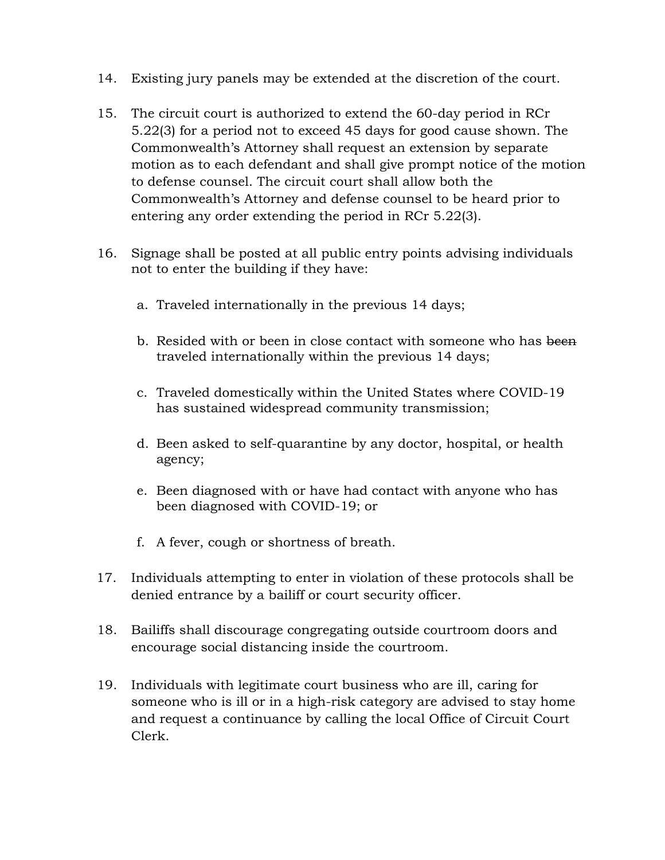- 14. Existing jury panels may be extended at the discretion of the court.
- 15. The circuit court is authorized to extend the 60-day period in RCr 5.22(3) for a period not to exceed 45 days for good cause shown. The Commonwealth's Attorney shall request an extension by separate motion as to each defendant and shall give prompt notice of the motion to defense counsel. The circuit court shall allow both the Commonwealth's Attorney and defense counsel to be heard prior to entering any order extending the period in RCr 5.22(3).
- 16. Signage shall be posted at all public entry points advising individuals not to enter the building if they have:
	- a. Traveled internationally in the previous 14 days;
	- b. Resided with or been in close contact with someone who has been traveled internationally within the previous 14 days;
	- c. Traveled domestically within the United States where COVID-19 has sustained widespread community transmission;
	- d. Been asked to self-quarantine by any doctor, hospital, or health agency;
	- e. Been diagnosed with or have had contact with anyone who has been diagnosed with COVID-19; or
	- f. A fever, cough or shortness of breath.
- 17. Individuals attempting to enter in violation of these protocols shall be denied entrance by a bailiff or court security officer.
- 18. Bailiffs shall discourage congregating outside courtroom doors and encourage social distancing inside the courtroom.
- 19. Individuals with legitimate court business who are ill, caring for someone who is ill or in a high-risk category are advised to stay home and request a continuance by calling the local Office of Circuit Court Clerk.